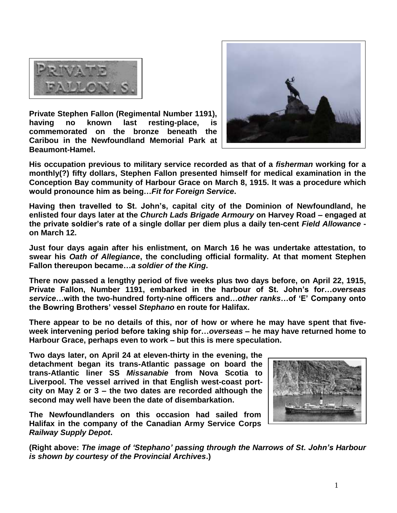

**Private Stephen Fallon (Regimental Number 1191), having no known last resting-place, is commemorated on the bronze beneath the Caribou in the Newfoundland Memorial Park at Beaumont-Hamel.** 



**His occupation previous to military service recorded as that of a** *fisherman* **working for a monthly(?) fifty dollars, Stephen Fallon presented himself for medical examination in the Conception Bay community of Harbour Grace on March 8, 1915. It was a procedure which would pronounce him as being…***Fit for Foreign Service***.**

**Having then travelled to St. John's, capital city of the Dominion of Newfoundland, he enlisted four days later at the** *Church Lads Brigade Armoury* **on Harvey Road – engaged at the private soldier's rate of a single dollar per diem plus a daily ten-cent** *Field Allowance*  **on March 12.**

**Just four days again after his enlistment, on March 16 he was undertake attestation, to swear his** *Oath of Allegiance***, the concluding official formality. At that moment Stephen Fallon thereupon became…***a soldier of the King***.**

**There now passed a lengthy period of five weeks plus two days before, on April 22, 1915, Private Fallon, Number 1191, embarked in the harbour of St. John's for…***overseas service***…with the two-hundred forty-nine officers and…***other ranks***…of 'E' Company onto the Bowring Brothers' vessel** *Stephano* **en route for Halifax.** 

**There appear to be no details of this, nor of how or where he may have spent that fiveweek intervening period before taking ship for…***overseas* **– he may have returned home to Harbour Grace, perhaps even to work – but this is mere speculation.** 

**Two days later, on April 24 at eleven-thirty in the evening, the detachment began its trans-Atlantic passage on board the trans-Atlantic liner SS** *Missanabie* **from Nova Scotia to Liverpool. The vessel arrived in that English west-coast portcity on May 2 or 3 – the two dates are recorded although the second may well have been the date of disembarkation.** 

**The Newfoundlanders on this occasion had sailed from Halifax in the company of the Canadian Army Service Corps**  *Railway Supply Depot***.**



**(Right above:** *The image of 'Stephano' passing through the Narrows of St. John's Harbour is shown by courtesy of the Provincial Archives***.)**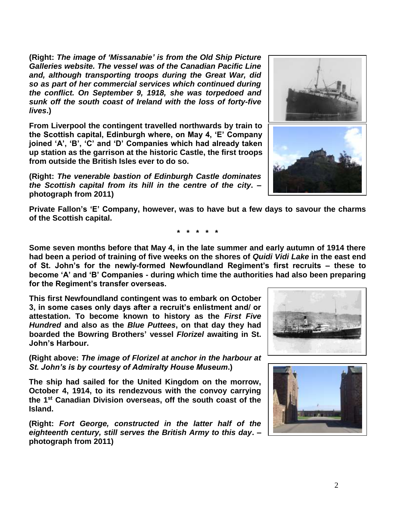**(Right:** *The image of 'Missanabie' is from the Old Ship Picture Galleries website. The vessel was of the Canadian Pacific Line and, although transporting troops during the Great War, did so as part of her commercial services which continued during the conflict. On September 9, 1918, she was torpedoed and sunk off the south coast of Ireland with the loss of forty-five lives***.)**

**From Liverpool the contingent travelled northwards by train to the Scottish capital, Edinburgh where, on May 4, 'E' Company joined 'A', 'B', 'C' and 'D' Companies which had already taken up station as the garrison at the historic Castle, the first troops from outside the British Isles ever to do so.**

**(Right:** *The venerable bastion of Edinburgh Castle dominates the Scottish capital from its hill in the centre of the city***. – photograph from 2011)**

**Private Fallon's 'E' Company, however, was to have but a few days to savour the charms of the Scottish capital.**

**\* \* \* \* \***

**Some seven months before that May 4, in the late summer and early autumn of 1914 there had been a period of training of five weeks on the shores of** *Quidi Vidi Lake* **in the east end of St. John's for the newly-formed Newfoundland Regiment's first recruits – these to become 'A' and 'B' Companies - during which time the authorities had also been preparing for the Regiment's transfer overseas.**

**This first Newfoundland contingent was to embark on October 3, in some cases only days after a recruit's enlistment and/ or attestation. To become known to history as the** *First Five Hundred* **and also as the** *Blue Puttees***, on that day they had boarded the Bowring Brothers' vessel** *Florizel* **awaiting in St. John's Harbour.**

**(Right above:** *The image of Florizel at anchor in the harbour at St. John's is by courtesy of Admiralty House Museum***.)**

**The ship had sailed for the United Kingdom on the morrow, October 4, 1914, to its rendezvous with the convoy carrying the 1st Canadian Division overseas, off the south coast of the Island.** 

**(Right:** *Fort George, constructed in the latter half of the eighteenth century, still serves the British Army to this day***. – photograph from 2011)**







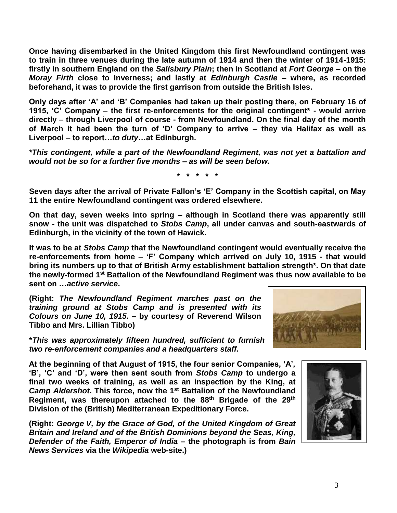**Once having disembarked in the United Kingdom this first Newfoundland contingent was to train in three venues during the late autumn of 1914 and then the winter of 1914-1915: firstly in southern England on the** *Salisbury Plain***; then in Scotland at** *Fort George* **– on the**  *Moray Firth* **close to Inverness; and lastly at** *Edinburgh Castle* **– where, as recorded beforehand, it was to provide the first garrison from outside the British Isles.** 

**Only days after 'A' and 'B' Companies had taken up their posting there, on February 16 of 1915, 'C' Company – the first re-enforcements for the original contingent\* - would arrive directly – through Liverpool of course - from Newfoundland. On the final day of the month of March it had been the turn of 'D' Company to arrive – they via Halifax as well as Liverpool – to report…***to duty***…at Edinburgh.**

*\*This contingent, while a part of the Newfoundland Regiment, was not yet a battalion and would not be so for a further five months – as will be seen below.*

**\* \* \* \* \***

**Seven days after the arrival of Private Fallon's 'E' Company in the Scottish capital, on May 11 the entire Newfoundland contingent was ordered elsewhere.** 

**On that day, seven weeks into spring – although in Scotland there was apparently still snow - the unit was dispatched to** *Stobs Camp***, all under canvas and south-eastwards of Edinburgh, in the vicinity of the town of Hawick.**

**It was to be at** *Stobs Camp* **that the Newfoundland contingent would eventually receive the re-enforcements from home – 'F' Company which arrived on July 10, 1915 - that would bring its numbers up to that of British Army establishment battalion strength\*. On that date the newly-formed 1st Battalion of the Newfoundland Regiment was thus now available to be sent on …***active service***.**

**(Right:** *The Newfoundland Regiment marches past on the training ground at Stobs Camp and is presented with its Colours on June 10, 1915.* **– by courtesy of Reverend Wilson Tibbo and Mrs. Lillian Tibbo)**

**\****This was approximately fifteen hundred, sufficient to furnish four 'fighting' companies, two re-enforcement companies and a headquarters staff.*

**At the beginning of that August of 1915, the four senior Companies, 'A', 'B', 'C' and 'D', were then sent south from** *Stobs Camp* **to undergo a final two weeks of training, as well as an inspection by the King, at**  *Camp Aldershot***. This force, now the 1st Battalion of the Newfoundland Regiment, was thereupon attached to the 88th Brigade of the 29th Division of the (British) Mediterranean Expeditionary Force.**

**(Right:** *George V, by the Grace of God, of the United Kingdom of Great Britain and Ireland and of the British Dominions beyond the Seas, King, Defender of the Faith, Emperor of India* **– the photograph is from** *Bain News Services* **via the** *Wikipedia* **web-site.)**



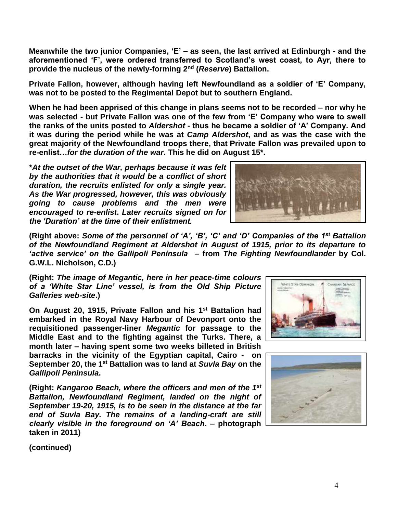**Meanwhile the two junior Companies, 'E' – as seen, the last arrived at Edinburgh - and the aforementioned 'F', were ordered transferred to Scotland's west coast, to Ayr, there to provide the nucleus of the newly-forming 2nd (***Reserve***) Battalion.**

**Private Fallon, however, although having left Newfoundland as a soldier of 'E' Company, was not to be posted to the Regimental Depot but to southern England.**

**When he had been apprised of this change in plans seems not to be recorded – nor why he was selected - but Private Fallon was one of the few from 'E' Company who were to swell the ranks of the units posted to** *Aldershot* **- thus he became a soldier of 'A' Company. And it was during the period while he was at** *Camp Aldershot***, and as was the case with the great majority of the Newfoundland troops there, that Private Fallon was prevailed upon to re-enlist…***for the duration of the war***. This he did on August 15\*.**

**\****At the outset of the War, perhaps because it was felt by the authorities that it would be a conflict of short duration, the recruits enlisted for only a single year. As the War progressed, however, this was obviously going to cause problems and the men were encouraged to re-enlist***.** *Later recruits signed on for the 'Duration' at the time of their enlistment.*



**(Right above:** *Some of the personnel of 'A', 'B', 'C' and 'D' Companies of the 1st Battalion of the Newfoundland Regiment at Aldershot in August of 1915, prior to its departure to 'active service' on the Gallipoli Peninsula* **– from** *The Fighting Newfoundlander* **by Col. G.W.L. Nicholson, C.D.)**

**(Right:** *The image of Megantic, here in her peace-time colours of a 'White Star Line' vessel, is from the Old Ship Picture Galleries web-site***.)**

**On August 20, 1915, Private Fallon and his 1st Battalion had embarked in the Royal Navy Harbour of Devonport onto the requisitioned passenger-liner** *Megantic* **for passage to the Middle East and to the fighting against the Turks. There, a month later – having spent some two weeks billeted in British barracks in the vicinity of the Egyptian capital, Cairo - on September 20, the 1st Battalion was to land at** *Suvla Bay* **on the**  *Gallipoli Peninsula***.**

**(Right:** *Kangaroo Beach, where the officers and men of the 1st Battalion, Newfoundland Regiment, landed on the night of September 19-20, 1915, is to be seen in the distance at the far end of Suvla Bay. The remains of a landing-craft are still clearly visible in the foreground on 'A' Beach***. – photograph taken in 2011)**





**(continued)**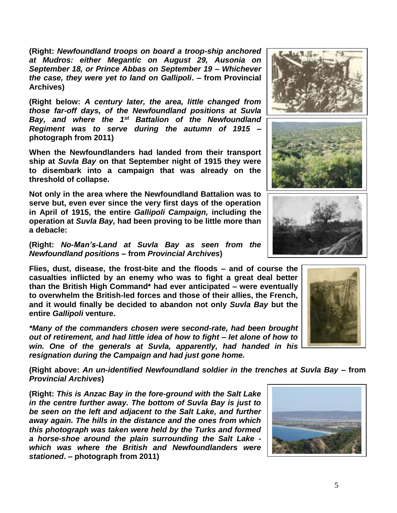**(Right:** *Newfoundland troops on board a troop-ship anchored at Mudros: either Megantic on August 29, Ausonia on September 18, or Prince Abbas on September 19 – Whichever the case, they were yet to land on Gallipoli***. – from Provincial Archives)**

**(Right below:** *A century later, the area, little changed from those far-off days, of the Newfoundland positions at Suvla Bay, and where the 1st Battalion of the Newfoundland Regiment was to serve during the autumn of 1915* **– photograph from 2011)**

**When the Newfoundlanders had landed from their transport ship at** *Suvla Bay* **on that September night of 1915 they were to disembark into a campaign that was already on the threshold of collapse.**

**Not only in the area where the Newfoundland Battalion was to serve but, even ever since the very first days of the operation in April of 1915, the entire** *Gallipoli Campaign,* **including the operation at** *Suvla Bay,* **had been proving to be little more than a debacle:** 

**(Right:** *No-Man's-Land at Suvla Bay as seen from the Newfoundland positions* **– from** *Provincial Archives***)**

**Flies, dust, disease, the frost-bite and the floods – and of course the casualties inflicted by an enemy who was to fight a great deal better than the British High Command\* had ever anticipated – were eventually to overwhelm the British-led forces and those of their allies, the French, and it would finally be decided to abandon not only** *Suvla Bay* **but the entire** *Gallipoli* **venture.**

*\*Many of the commanders chosen were second-rate, had been brought out of retirement, and had little idea of how to fight – let alone of how to win. One of the generals at Suvla, apparently, had handed in his resignation during the Campaign and had just gone home.*

**(Right above:** *An un-identified Newfoundland soldier in the trenches at Suvla Bay –* **from**  *Provincial Archives***)**

**(Right:** *This is Anzac Bay in the fore-ground with the Salt Lake in the centre further away. The bottom of Suvla Bay is just to be seen on the left and adjacent to the Salt Lake, and further away again. The hills in the distance and the ones from which this photograph was taken were held by the Turks and formed a horse-shoe around the plain surrounding the Salt Lake which was where the British and Newfoundlanders were stationed***. – photograph from 2011)**







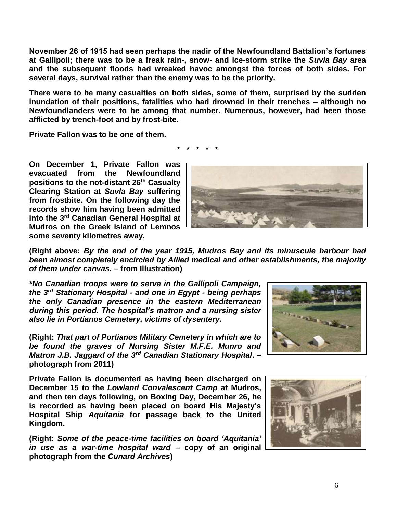**November 26 of 1915 had seen perhaps the nadir of the Newfoundland Battalion's fortunes at Gallipoli; there was to be a freak rain-, snow- and ice-storm strike the** *Suvla Bay* **area and the subsequent floods had wreaked havoc amongst the forces of both sides. For several days, survival rather than the enemy was to be the priority.**

**There were to be many casualties on both sides, some of them, surprised by the sudden inundation of their positions, fatalities who had drowned in their trenches – although no Newfoundlanders were to be among that number. Numerous, however, had been those afflicted by trench-foot and by frost-bite.**

**\* \* \* \* \***

**Private Fallon was to be one of them.**

**On December 1, Private Fallon was evacuated from the Newfoundland positions to the not-distant 26th Casualty Clearing Station at** *Suvla Bay* **suffering from frostbite. On the following day the records show him having been admitted into the 3rd Canadian General Hospital at Mudros on the Greek island of Lemnos some seventy kilometres away.** 



**(Right above:** *By the end of the year 1915, Mudros Bay and its minuscule harbour had been almost completely encircled by Allied medical and other establishments, the majority of them under canvas***. – from Illustration)**

*\*No Canadian troops were to serve in the Gallipoli Campaign, the 3rd Stationary Hospital - and one in Egypt - being perhaps the only Canadian presence in the eastern Mediterranean during this period. The hospital's matron and a nursing sister also lie in Portianos Cemetery, victims of dysentery.*

**(Right:** *That part of Portianos Military Cemetery in which are to be found the graves of Nursing Sister M.F.E. Munro and Matron J.B. Jaggard of the 3rd Canadian Stationary Hospital***. – photograph from 2011)**

**Private Fallon is documented as having been discharged on December 15 to the** *Lowland Convalescent Camp* **at Mudros, and then ten days following, on Boxing Day, December 26, he is recorded as having been placed on board His Majesty's Hospital Ship** *Aquitania* **for passage back to the United Kingdom.**

**(Right:** *Some of the peace-time facilities on board 'Aquitania' in use as a war-time hospital ward* **– copy of an original photograph from the** *Cunard Archives***)**



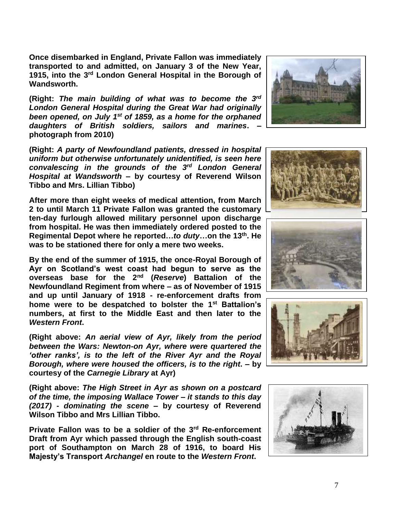**Once disembarked in England, Private Fallon was immediately transported to and admitted, on January 3 of the New Year, 1915, into the 3 rd London General Hospital in the Borough of Wandsworth.** 

**(Right:** *The main building of what was to become the 3 rd London General Hospital during the Great War had originally been opened, on July 1st of 1859, as a home for the orphaned daughters of British soldiers, sailors and marines***. – photograph from 2010)**

**(Right:** *A party of Newfoundland patients, dressed in hospital uniform but otherwise unfortunately unidentified, is seen here convalescing in the grounds of the 3 rd London General Hospital at Wandsworth –* **by courtesy of Reverend Wilson Tibbo and Mrs. Lillian Tibbo)**

**After more than eight weeks of medical attention, from March 2 to until March 11 Private Fallon was granted the customary ten-day furlough allowed military personnel upon discharge from hospital. He was then immediately ordered posted to the Regimental Depot where he reported…***to duty***…on the 13th. He was to be stationed there for only a mere two weeks.**

**By the end of the summer of 1915, the once-Royal Borough of Ayr on Scotland's west coast had begun to serve as the overseas base for the 2nd (***Reserve***) Battalion of the Newfoundland Regiment from where – as of November of 1915 and up until January of 1918 - re-enforcement drafts from home were to be despatched to bolster the 1st Battalion's numbers, at first to the Middle East and then later to the**  *Western Front***.**

**(Right above:** *An aerial view of Ayr, likely from the period between the Wars: Newton-on Ayr, where were quartered the 'other ranks', is to the left of the River Ayr and the Royal Borough, where were housed the officers, is to the right***. – by courtesy of the** *Carnegie Library* **at Ayr)**

**(Right above:** *The High Street in Ayr as shown on a postcard of the time, the imposing Wallace Tower – it stands to this day (2017) - dominating the scene* **– by courtesy of Reverend Wilson Tibbo and Mrs Lillian Tibbo.**

**Private Fallon was to be a soldier of the 3rd Re-enforcement Draft from Ayr which passed through the English south-coast port of Southampton on March 28 of 1916, to board His Majesty's Transport** *Archangel* **en route to the** *Western Front***.** 









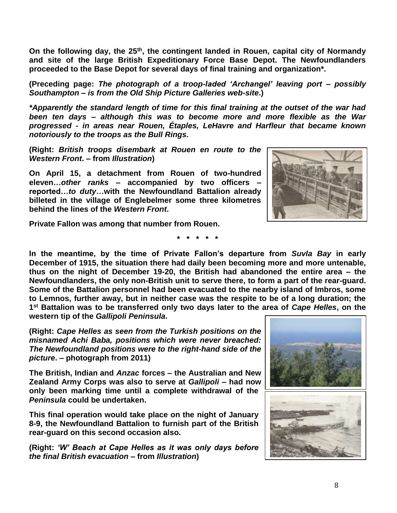**On the following day, the 25th, the contingent landed in Rouen, capital city of Normandy and site of the large British Expeditionary Force Base Depot. The Newfoundlanders proceeded to the Base Depot for several days of final training and organization\*.**

**(Preceding page:** *The photograph of a troop-laded 'Archangel' leaving port – possibly Southampton – is from the Old Ship Picture Galleries web-site***.)**

*\*Apparently the standard length of time for this final training at the outset of the war had been ten days – although this was to become more and more flexible as the War progressed - in areas near Rouen, Étaples, LeHavre and Harfleur that became known notoriously to the troops as the Bull Rings.*

**(Right:** *British troops disembark at Rouen en route to the Western Front***. – from** *Illustration***)**

**On April 15, a detachment from Rouen of two-hundred eleven…***other ranks* **– accompanied by two officers – reported…***to duty***…with the Newfoundland Battalion already billeted in the village of Englebelmer some three kilometres behind the lines of the** *Western Front***.** 



**Private Fallon was among that number from Rouen.**

**\* \* \* \* \***

**In the meantime, by the time of Private Fallon's departure from** *Suvla Bay* **in early December of 1915, the situation there had daily been becoming more and more untenable, thus on the night of December 19-20, the British had abandoned the entire area – the Newfoundlanders, the only non-British unit to serve there, to form a part of the rear-guard. Some of the Battalion personnel had been evacuated to the nearby island of Imbros, some to Lemnos, further away, but in neither case was the respite to be of a long duration; the 1 st Battalion was to be transferred only two days later to the area of** *Cape Helles***, on the western tip of the** *Gallipoli Peninsula***.**

**(Right:** *Cape Helles as seen from the Turkish positions on the misnamed Achi Baba, positions which were never breached: The Newfoundland positions were to the right-hand side of the picture***. – photograph from 2011)**

**The British, Indian and** *Anzac* **forces – the Australian and New Zealand Army Corps was also to serve at** *Gallipoli* **– had now only been marking time until a complete withdrawal of the**  *Peninsula* **could be undertaken.** 

**This final operation would take place on the night of January 8-9, the Newfoundland Battalion to furnish part of the British rear-guard on this second occasion also.**

**(Right:** *'W' Beach at Cape Helles as it was only days before the final British evacuation* **– from** *Illustration***)**

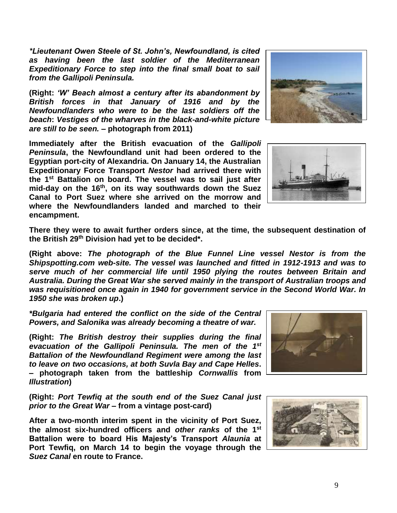*\*Lieutenant Owen Steele of St. John's, Newfoundland, is cited as having been the last soldier of the Mediterranean Expeditionary Force to step into the final small boat to sail from the Gallipoli Peninsula.*

**(Right:** *'W' Beach almost a century after its abandonment by British forces in that January of 1916 and by the Newfoundlanders who were to be the last soldiers off the beach***:** *Vestiges of the wharves in the black-and-white picture are still to be seen.* **– photograph from 2011)**

**Immediately after the British evacuation of the** *Gallipoli Peninsula***, the Newfoundland unit had been ordered to the Egyptian port-city of Alexandria. On January 14, the Australian Expeditionary Force Transport** *Nestor* **had arrived there with the 1st Battalion on board. The vessel was to sail just after mid-day on the 16th, on its way southwards down the Suez Canal to Port Suez where she arrived on the morrow and where the Newfoundlanders landed and marched to their encampment.**





**There they were to await further orders since, at the time, the subsequent destination of the British 29th Division had yet to be decided\*.**

**(Right above:** *The photograph of the Blue Funnel Line vessel Nestor is from the Shipspotting.com web-site. The vessel was launched and fitted in 1912-1913 and was to serve much of her commercial life until 1950 plying the routes between Britain and Australia. During the Great War she served mainly in the transport of Australian troops and was requisitioned once again in 1940 for government service in the Second World War. In 1950 she was broken up***.)**

*\*Bulgaria had entered the conflict on the side of the Central Powers, and Salonika was already becoming a theatre of war.*

**(Right:** *The British destroy their supplies during the final evacuation of the Gallipoli Peninsula. The men of the 1st Battalion of the Newfoundland Regiment were among the last to leave on two occasions, at both Suvla Bay and Cape Helles***. – photograph taken from the battleship** *Cornwallis* **from**  *Illustration***)**

**(Right:** *Port Tewfiq at the south end of the Suez Canal just prior to the Great War* **– from a vintage post-card)**

**After a two-month interim spent in the vicinity of Port Suez, the almost six-hundred officers and** *other ranks* **of the 1st Battalion were to board His Majesty's Transport** *Alaunia* **at Port Tewfiq, on March 14 to begin the voyage through the**  *Suez Canal* **en route to France.** 



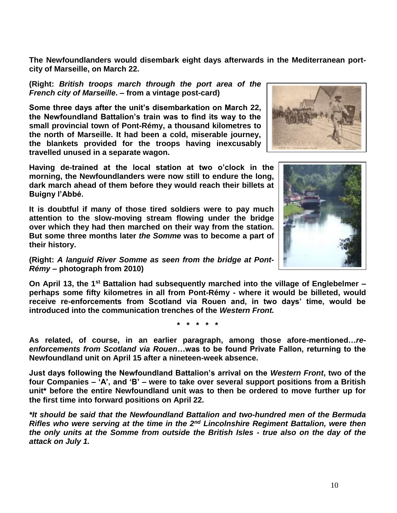**The Newfoundlanders would disembark eight days afterwards in the Mediterranean portcity of Marseille, on March 22.**

**(Right:** *British troops march through the port area of the French city of Marseille***. – from a vintage post-card)**

**Some three days after the unit's disembarkation on March 22, the Newfoundland Battalion's train was to find its way to the small provincial town of Pont-Rémy, a thousand kilometres to the north of Marseille. It had been a cold, miserable journey, the blankets provided for the troops having inexcusably travelled unused in a separate wagon.**

**Having de-trained at the local station at two o'clock in the morning, the Newfoundlanders were now still to endure the long, dark march ahead of them before they would reach their billets at Buigny l'Abbé.**

**It is doubtful if many of those tired soldiers were to pay much attention to the slow-moving stream flowing under the bridge over which they had then marched on their way from the station. But some three months later** *the Somme* **was to become a part of their history.**

**(Right:** *A languid River Somme as seen from the bridge at Pont-Rémy* **– photograph from 2010)**

**On April 13, the 1st Battalion had subsequently marched into the village of Englebelmer – perhaps some fifty kilometres in all from Pont-Rémy - where it would be billeted, would receive re-enforcements from Scotland via Rouen and, in two days' time, would be introduced into the communication trenches of the** *Western Front.*

**\* \* \* \* \***

**As related, of course, in an earlier paragraph, among those afore-mentioned…***reenforcements from Scotland via Rouen***…was to be found Private Fallon, returning to the Newfoundland unit on April 15 after a nineteen-week absence.**

**Just days following the Newfoundland Battalion's arrival on the** *Western Front***, two of the four Companies – 'A', and 'B' – were to take over several support positions from a British unit\* before the entire Newfoundland unit was to then be ordered to move further up for the first time into forward positions on April 22.**

*\*It should be said that the Newfoundland Battalion and two-hundred men of the Bermuda Rifles who were serving at the time in the 2nd Lincolnshire Regiment Battalion, were then the only units at the Somme from outside the British Isles - true also on the day of the attack on July 1.*



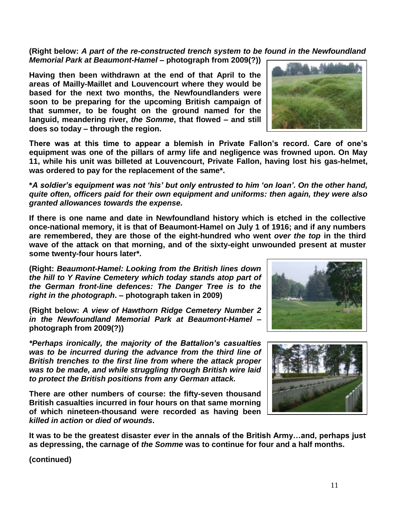## **(Right below:** *A part of the re-constructed trench system to be found in the Newfoundland Memorial Park at Beaumont-Hamel* **– photograph from 2009(?))**

**Having then been withdrawn at the end of that April to the areas of Mailly-Maillet and Louvencourt where they would be based for the next two months, the Newfoundlanders were soon to be preparing for the upcoming British campaign of that summer, to be fought on the ground named for the languid, meandering river,** *the Somme***, that flowed – and still does so today – through the region.** 

**There was at this time to appear a blemish in Private Fallon's record. Care of one's equipment was one of the pillars of army life and negligence was frowned upon. On May 11, while his unit was billeted at Louvencourt, Private Fallon, having lost his gas-helmet, was ordered to pay for the replacement of the same\*.**

**\****A soldier's equipment was not 'his' but only entrusted to him 'on loan'. On the other hand, quite often, officers paid for their own equipment and uniforms: then again, they were also granted allowances towards the expense.*

**If there is one name and date in Newfoundland history which is etched in the collective once-national memory, it is that of Beaumont-Hamel on July 1 of 1916; and if any numbers are remembered, they are those of the eight-hundred who went** *over the top* **in the third wave of the attack on that morning, and of the sixty-eight unwounded present at muster some twenty-four hours later\*.**

**(Right:** *Beaumont-Hamel: Looking from the British lines down the hill to Y Ravine Cemetery which today stands atop part of the German front-line defences: The Danger Tree is to the right in the photograph***. – photograph taken in 2009)**

**(Right below:** *A view of Hawthorn Ridge Cemetery Number 2 in the Newfoundland Memorial Park at Beaumont-Hamel* **– photograph from 2009(?))**

*\*Perhaps ironically, the majority of the Battalion's casualties was to be incurred during the advance from the third line of British trenches to the first line from where the attack proper was to be made, and while struggling through British wire laid to protect the British positions from any German attack.*

**There are other numbers of course: the fifty-seven thousand British casualties incurred in four hours on that same morning of which nineteen-thousand were recorded as having been**  *killed in action* **or** *died of wounds***.** 

**It was to be the greatest disaster** *ever* **in the annals of the British Army…and, perhaps just as depressing, the carnage of** *the Somme* **was to continue for four and a half months.**

**(continued)**